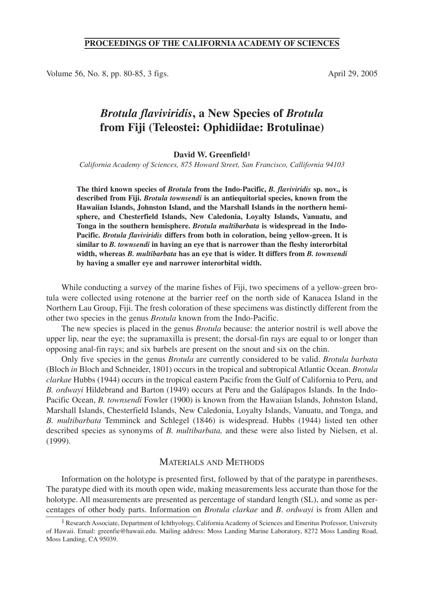# **PROCEEDINGS OF THE CALIFORNIA ACADEMY OF SCIENCES**

Volume 56, No. 8, pp. 80-85, 3 figs. April 29, 2005

# *Brotula flaviviridis***, a New Species of** *Brotula* **from Fiji (Teleostei: Ophidiidae: Brotulinae)**

#### **David W. Greenfield1**

*California Academy of Sciences, 875 Howard Street, San Francisco, Callifornia 94103*

**The third known species of** *Brotula* **from the Indo-Pacific,** *B. flaviviridis* **sp. nov., is described from Fiji.** *Brotula townsendi* **is an antiequitorial species, known from the Hawaiian Islands, Johnston Island, and the Marshall Islands in the northern hemisphere, and Chesterfield Islands, New Caledonia, Loyalty Islands, Vanuatu, and Tonga in the southern hemisphere.** *Brotula multibarbata* **is widespread in the Indo-Pacific.** *Brotula flaviviridis* **differs from both in coloration, being yellow-green. It is similar to** *B. townsendi* **in having an eye that is narrower than the fleshy interorbital width, whereas** *B. multibarbata* **has an eye that is wider. It differs from** *B. townsendi* **by having a smaller eye and narrower interorbital width.**

While conducting a survey of the marine fishes of Fiji, two specimens of a yellow-green brotula were collected using rotenone at the barrier reef on the north side of Kanacea Island in the Northern Lau Group, Fiji. The fresh coloration of these specimens was distinctly different from the other two species in the genus *Brotula* known from the Indo-Pacific.

The new species is placed in the genus *Brotula* because: the anterior nostril is well above the upper lip, near the eye; the supramaxilla is present; the dorsal-fin rays are equal to or longer than opposing anal-fin rays; and six barbels are present on the snout and six on the chin.

Only five species in the genus *Brotula* are currently considered to be valid. *Brotula barbata* (Bloch *in* Bloch and Schneider, 1801) occurs in the tropical and subtropical Atlantic Ocean. *Brotula clarkae* Hubbs (1944) occurs in the tropical eastern Pacific from the Gulf of California to Peru, and *B. ordwayi* Hildebrand and Barton (1949) occurs at Peru and the Galápagos Islands. In the Indo-Pacific Ocean, *B. townsendi* Fowler (1900) is known from the Hawaiian Islands, Johnston Island, Marshall Islands, Chesterfield Islands, New Caledonia, Loyalty Islands, Vanuatu, and Tonga, and *B. multibarbata* Temminck and Schlegel (1846) is widespread. Hubbs (1944) listed ten other described species as synonyms of *B. multibarbata,* and these were also listed by Nielsen, et al. (1999).

### MATERIALS AND METHODS

Information on the holotype is presented first, followed by that of the paratype in parentheses. The paratype died with its mouth open wide, making measurements less accurate than those for the holotype. All measurements are presented as percentage of standard length (SL), and some as percentages of other body parts. Information on *Brotula clarkae* and *B*. *ordwayi* is from Allen and

<sup>&</sup>lt;sup>1</sup> Research Associate, Department of Ichthyology, California Academy of Sciences and Emeritus Professor, University of Hawaii. Email: greenfie@hawaii.edu. Mailing address: Moss Landing Marine Laboratory, 8272 Moss Landing Road, Moss Landing, CA 95039.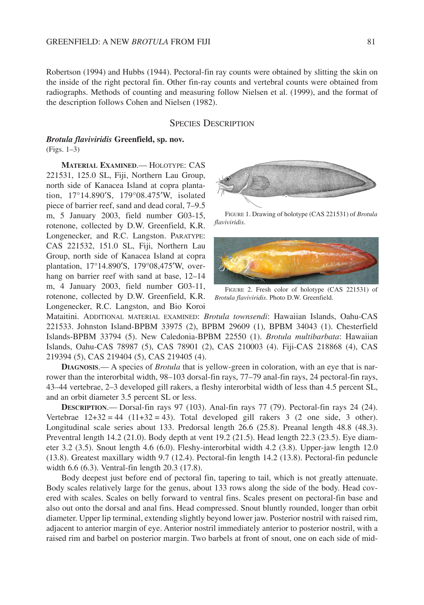Robertson (1994) and Hubbs (1944). Pectoral-fin ray counts were obtained by slitting the skin on the inside of the right pectoral fin. Other fin-ray counts and vertebral counts were obtained from radiographs. Methods of counting and measuring follow Nielsen et al. (1999), and the format of the description follows Cohen and Nielsen (1982).

#### SPECIES DESCRIPTION

#### *Brotula flaviviridis* **Greenfield, sp. nov.** (Figs. 1–3)

**MATERIAL EXAMINED**.— HOLOTYPE: CAS 221531, 125.0 SL, Fiji, Northern Lau Group, north side of Kanacea Island at copra plantation, 17°14.890′S, 179°08.475′W, isolated piece of barrier reef, sand and dead coral, 7–9.5 m, 5 January 2003, field number G03-15, rotenone, collected by D.W. Greenfield, K.R. Longenecker, and R.C. Langston. PARATYPE: CAS 221532, 151.0 SL, Fiji, Northern Lau Group, north side of Kanacea Island at copra plantation, 17°14.890′S, 179°08,475′W, overhang on barrier reef with sand at base, 12–14 m, 4 January 2003, field number G03-11, rotenone, collected by D.W. Greenfield, K.R. Longenecker, R.C. Langston, and Bio Koroi



FIGURE 1. Drawing of holotype (CAS 221531) of *Brotula flaviviridis*.



FIGURE 2. Fresh color of holotype (CAS 221531) of *Brotula flaviviridis*. Photo D.W. Greenfield.

Mataitini. ADDITIONAL MATERIAL EXAMINED: *Brotula townsendi*: Hawaiian Islands, Oahu-CAS 221533. Johnston Island-BPBM 33975 (2), BPBM 29609 (1), BPBM 34043 (1). Chesterfield Islands-BPBM 33794 (5). New Caledonia-BPBM 22550 (1). *Brotula multibarbata*: Hawaiian Islands, Oahu-CAS 78987 (5), CAS 78901 (2), CAS 210003 (4). Fiji-CAS 218868 (4), CAS 219394 (5), CAS 219404 (5), CAS 219405 (4).

**DIAGNOSIS.**— A species of *Brotula* that is yellow-green in coloration, with an eye that is narrower than the interorbital width, 98–103 dorsal-fin rays, 77–79 anal-fin rays, 24 pectoral-fin rays, 43–44 vertebrae, 2–3 developed gill rakers, a fleshy interorbital width of less than 4.5 percent SL, and an orbit diameter 3.5 percent SL or less.

**DESCRIPTION**.— Dorsal-fin rays 97 (103). Anal-fin rays 77 (79). Pectoral-fin rays 24 (24). Vertebrae  $12+32 = 44$  ( $11+32 = 43$ ). Total developed gill rakers 3 (2 one side, 3 other). Longitudinal scale series about 133. Predorsal length 26.6 (25.8). Preanal length 48.8 (48.3). Preventral length 14.2 (21.0). Body depth at vent 19.2 (21.5). Head length 22.3 (23.5). Eye diameter 3.2 (3.5). Snout length 4.6 (6.0). Fleshy-interorbital width 4.2 (3.8). Upper-jaw length 12.0 (13.8). Greatest maxillary width 9.7 (12.4). Pectoral-fin length 14.2 (13.8). Pectoral-fin peduncle width 6.6 (6.3). Ventral-fin length 20.3 (17.8).

Body deepest just before end of pectoral fin, tapering to tail, which is not greatly attenuate. Body scales relatively large for the genus, about 133 rows along the side of the body. Head covered with scales. Scales on belly forward to ventral fins. Scales present on pectoral-fin base and also out onto the dorsal and anal fins. Head compressed. Snout bluntly rounded, longer than orbit diameter. Upper lip terminal, extending slightly beyond lower jaw. Posterior nostril with raised rim, adjacent to anterior margin of eye. Anterior nostril immediately anterior to posterior nostril, with a raised rim and barbel on posterior margin. Two barbels at front of snout, one on each side of mid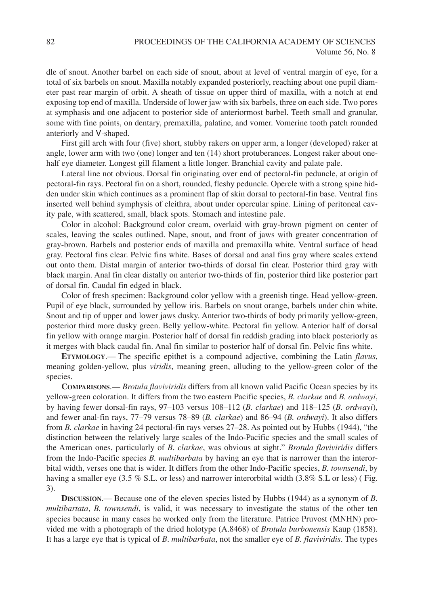dle of snout. Another barbel on each side of snout, about at level of ventral margin of eye, for a total of six barbels on snout. Maxilla notably expanded posteriorly, reaching about one pupil diameter past rear margin of orbit. A sheath of tissue on upper third of maxilla, with a notch at end exposing top end of maxilla. Underside of lower jaw with six barbels, three on each side. Two pores at symphasis and one adjacent to posterior side of anteriormost barbel. Teeth small and granular, some with fine points, on dentary, premaxilla, palatine, and vomer. Vomerine tooth patch rounded anteriorly and V-shaped.

First gill arch with four (five) short, stubby rakers on upper arm, a longer (developed) raker at angle, lower arm with two (one) longer and ten (14) short protuberances. Longest raker about onehalf eye diameter. Longest gill filament a little longer. Branchial cavity and palate pale.

Lateral line not obvious. Dorsal fin originating over end of pectoral-fin peduncle, at origin of pectoral-fin rays. Pectoral fin on a short, rounded, fleshy peduncle. Opercle with a strong spine hidden under skin which continues as a prominent flap of skin dorsal to pectoral-fin base. Ventral fins inserted well behind symphysis of cleithra, about under opercular spine. Lining of peritoneal cavity pale, with scattered, small, black spots. Stomach and intestine pale.

Color in alcohol: Background color cream, overlaid with gray-brown pigment on center of scales, leaving the scales outlined. Nape, snout, and front of jaws with greater concentration of gray-brown. Barbels and posterior ends of maxilla and premaxilla white. Ventral surface of head gray. Pectoral fins clear. Pelvic fins white. Bases of dorsal and anal fins gray where scales extend out onto them. Distal margin of anterior two-thirds of dorsal fin clear. Posterior third gray with black margin. Anal fin clear distally on anterior two-thirds of fin, posterior third like posterior part of dorsal fin. Caudal fin edged in black.

Color of fresh specimen: Background color yellow with a greenish tinge. Head yellow-green. Pupil of eye black, surrounded by yellow iris. Barbels on snout orange, barbels under chin white. Snout and tip of upper and lower jaws dusky. Anterior two-thirds of body primarily yellow-green, posterior third more dusky green. Belly yellow-white. Pectoral fin yellow. Anterior half of dorsal fin yellow with orange margin. Posterior half of dorsal fin reddish grading into black posteriorly as it merges with black caudal fin. Anal fin similar to posterior half of dorsal fin. Pelvic fins white.

**ETYMOLOGY**.— The specific epithet is a compound adjective, combining the Latin *flavus*, meaning golden-yellow, plus *viridis*, meaning green, alluding to the yellow-green color of the species.

**COMPARISONS**.— *Brotula flaviviridis* differs from all known valid Pacific Ocean species by its yellow-green coloration. It differs from the two eastern Pacific species, *B. clarkae* and *B. ordwayi*, by having fewer dorsal-fin rays, 97–103 versus 108–112 (*B. clarkae*) and 118–125 (*B. ordwayi*), and fewer anal-fin rays, 77–79 versus 78–89 (*B. clarkae*) and 86–94 (*B. ordwayi*). It also differs from *B. clarkae* in having 24 pectoral-fin rays verses 27–28. As pointed out by Hubbs (1944), "the distinction between the relatively large scales of the Indo-Pacific species and the small scales of the American ones, particularly of *B*. *clarkae*, was obvious at sight." *Brotula flaviviridis* differs from the Indo-Pacific species *B. multibarbata* by having an eye that is narrower than the interorbital width, verses one that is wider. It differs from the other Indo-Pacific species, *B. townsendi*, by having a smaller eye (3.5 % S.L. or less) and narrower interorbital width (3.8% S.L or less) (Fig. 3).

**DISCUSSION**.— Because one of the eleven species listed by Hubbs (1944) as a synonym of *B*. *multibartata*, *B. townsendi*, is valid, it was necessary to investigate the status of the other ten species because in many cases he worked only from the literature. Patrice Pruvost (MNHN) provided me with a photograph of the dried holotype (A.8468) of *Brotula burbonensis* Kaup (1858). It has a large eye that is typical of *B*. *multibarbata*, not the smaller eye of *B. flaviviridis*. The types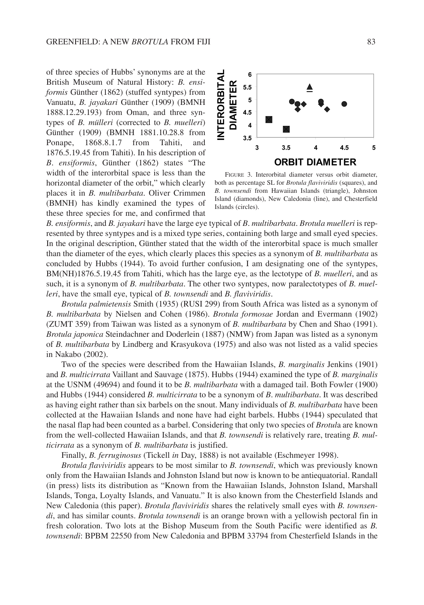of three species of Hubbs' synonyms are at the British Museum of Natural History: *B. ensiformis* Günther (1862) (stuffed syntypes) from Vanuatu, *B. jayakari* Günther (1909) (BMNH 1888.12.29.193) from Oman, and three syntypes of *B. mülleri* (corrected to *B. muelleri*) Günther (1909) (BMNH 1881.10.28.8 from Ponape, 1868.8.1.7 from Tahiti, and 1876.5.19.45 from Tahiti). In his description of *B*. *ensiformis*, Günther (1862) states "The width of the interorbital space is less than the horizontal diameter of the orbit," which clearly places it in *B. multibarbata*. Oliver Crimmen (BMNH) has kindly examined the types of these three species for me, and confirmed that



FIGURE 3. Interorbital diameter versus orbit diameter, both as percentage SL for *Brotula flaviviridis* (squares), and *B. townsendi* from Hawaiian Islands (triangle), Johnston Island (diamonds), New Caledonia (line), and Chesterfield Islands (circles).

*B. ensiformis*, and *B. jayakari* have the large eye typical of *B*. *multibarbata*. *Brotula muelleri* is represented by three syntypes and is a mixed type series, containing both large and small eyed species. In the original description, Günther stated that the width of the interorbital space is much smaller than the diameter of the eyes, which clearly places this species as a synonym of *B. multibarbata* as concluded by Hubbs (1944). To avoid further confusion, I am designating one of the syntypes, BM(NH)1876.5.19.45 from Tahiti, which has the large eye, as the lectotype of *B. muelleri*, and as such, it is a synonym of *B. multibarbata*. The other two syntypes, now paralectotypes of *B. muelleri*, have the small eye, typical of *B. townsendi* and *B. flaviviridis*.

*Brotula palmietensis* Smith (1935) (RUSI 299) from South Africa was listed as a synonym of *B. multibarbata* by Nielsen and Cohen (1986). *Brotula formosae* Jordan and Evermann (1902) (ZUMT 359) from Taiwan was listed as a synonym of *B. multibarbata* by Chen and Shao (1991). *Brotula japonica* Steindachner and Doderlein (1887) (NMW) from Japan was listed as a synonym of *B. multibarbata* by Lindberg and Krasyukova (1975) and also was not listed as a valid species in Nakabo (2002).

Two of the species were described from the Hawaiian Islands, *B. marginalis* Jenkins (1901) and *B. multicirrata* Vaillant and Sauvage (1875). Hubbs (1944) examined the type of *B. marginalis* at the USNM (49694) and found it to be *B. multibarbata* with a damaged tail. Both Fowler (1900) and Hubbs (1944) considered *B. multicirrata* to be a synonym of *B*. *multibarbata*. It was described as having eight rather than six barbels on the snout. Many individuals of *B. multibarbata* have been collected at the Hawaiian Islands and none have had eight barbels. Hubbs (1944) speculated that the nasal flap had been counted as a barbel. Considering that only two species of *Brotul*a are known from the well-collected Hawaiian Islands, and that *B. townsendi* is relatively rare, treating *B. multicirrata* as a synonym of *B. multibarbata* is justified.

Finally, *B. ferruginosus* (Tickell *in* Day, 1888) is not available (Eschmeyer 1998).

*Brotula flaviviridis* appears to be most similar to *B. townsendi*, which was previously known only from the Hawaiian Islands and Johnston Island but now is known to be antiequatorial. Randall (in press) lists its distribution as "Known from the Hawaiian Islands, Johnston Island, Marshall Islands, Tonga, Loyalty Islands, and Vanuatu." It is also known from the Chesterfield Islands and New Caledonia (this paper). *Brotula flaviviridis* shares the relatively small eyes with *B. townsendi*, and has similar counts. *Brotula townsendi* is an orange brown with a yellowish pectoral fin in fresh coloration. Two lots at the Bishop Museum from the South Pacific were identified as *B. townsendi*: BPBM 22550 from New Caledonia and BPBM 33794 from Chesterfield Islands in the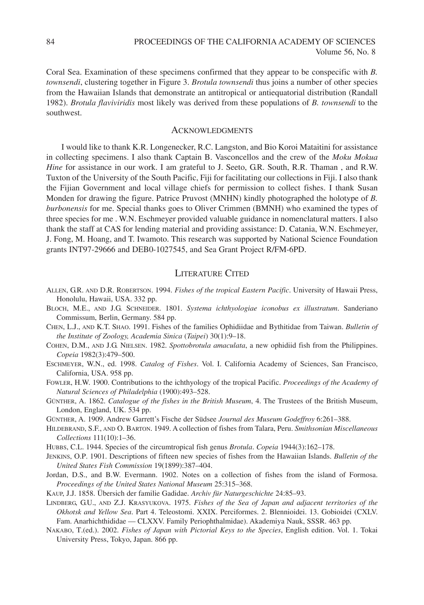Coral Sea. Examination of these specimens confirmed that they appear to be conspecific with *B. townsendi*, clustering together in Figure 3. *Brotula townsendi* thus joins a number of other species from the Hawaiian Islands that demonstrate an antitropical or antiequatorial distribution (Randall 1982). *Brotula flaviviridis* most likely was derived from these populations of *B. townsendi* to the southwest.

## ACKNOWLEDGMENTS

I would like to thank K.R. Longenecker, R.C. Langston, and Bio Koroi Mataitini for assistance in collecting specimens. I also thank Captain B. Vasconcellos and the crew of the *Moku Mokua Hine* for assistance in our work. I am grateful to J. Seeto, G.R. South, R.R. Thaman, and R.W. Tuxton of the University of the South Pacific, Fiji for facilitating our collections in Fiji. I also thank the Fijian Government and local village chiefs for permission to collect fishes. I thank Susan Monden for drawing the figure. Patrice Pruvost (MNHN) kindly photographed the holotype of *B. burbonensis* for me. Special thanks goes to Oliver Crimmen (BMNH) who examined the types of three species for me . W.N. Eschmeyer provided valuable guidance in nomenclatural matters. I also thank the staff at CAS for lending material and providing assistance: D. Catania, W.N. Eschmeyer, J. Fong, M. Hoang, and T. Iwamoto. This research was supported by National Science Foundation grants INT97-29666 and DEB0-1027545, and Sea Grant Project R/FM-6PD.

# LITERATURE CITED

- ALLEN, G.R. AND D.R. ROBERTSON. 1994. *Fishes of the tropical Eastern Pacific*. University of Hawaii Press, Honolulu, Hawaii, USA. 332 pp.
- BLOCH, M.E., AND J.G. SCHNEIDER. 1801. *Systema ichthyologiae iconobus ex illustratum*. Sanderiano Commissum, Berlin, Germany. 584 pp.
- CHEN, L.J., AND K.T. SHAO. 1991. Fishes of the families Ophidiidae and Bythitidae from Taiwan. *Bulletin of the Institute of Zoology, Academia Sinica* (*Taipei*) 30(1):9–18.
- COHEN, D.M., AND J.G. NIELSEN. 1982. *Spottobrotula amaculata*, a new ophidiid fish from the Philippines. *Copeia* 1982(3):479–500.
- ESCHMEYER, W.N., ed. 1998. *Catalog of Fishes*. Vol. I. California Academy of Sciences, San Francisco, California, USA. 958 pp.
- FOWLER, H.W. 1900. Contributions to the ichthyology of the tropical Pacific. *Proceedings of the Academy of Natural Sciences of Philadelphia* (1900):493–528.
- GÜNTHER, A. 1862. *Catalogue of the fishes in the British Museum*, 4. The Trustees of the British Museum, London, England, UK. 534 pp.
- GÜNTHER, A. 1909. Andrew Garrett's Fische der Südsee *Journal des Museum Godeffroy* 6:261–388.
- HILDEBRAND, S.F., AND O. BARTON. 1949. A collection of fishes from Talara, Peru. *Smithsonian Miscellaneous Collections* 111(10):1–36.
- HUBBS, C.L. 1944. Species of the circumtropical fish genus *Brotula*. *Copeia* 1944(3):162–178.
- JENKINS, O.P. 1901. Descriptions of fifteen new species of fishes from the Hawaiian Islands. *Bulletin of the United States Fish Commission* 19(1899):387–404.
- Jordan, D.S., and B.W. Evermann. 1902. Notes on a collection of fishes from the island of Formosa. *Proceedings of the United States National Museum* 25:315–368.
- KAUP, J.J. 1858. Übersich der familie Gadidae. *Archiv für Naturgeschichte* 24:85–93.
- LINDBERG, G.U., AND Z.J. KRASYUKOVA. 1975. *Fishes of the Sea of Japan and adjacent territories of the Okhotsk and Yellow Sea*. Part 4. Teleostomi. XXIX. Perciformes. 2. Blennioidei. 13. Gobioidei (CXLV. Fam. Anarhichthididae — CLXXV. Family Periophthalmidae). Akademiya Nauk, SSSR. 463 pp.
- NAKABO, T.(ed.). 2002. *Fishes of Japan with Pictorial Keys to the Species*, English edition. Vol. 1. Tokai University Press, Tokyo, Japan. 866 pp.